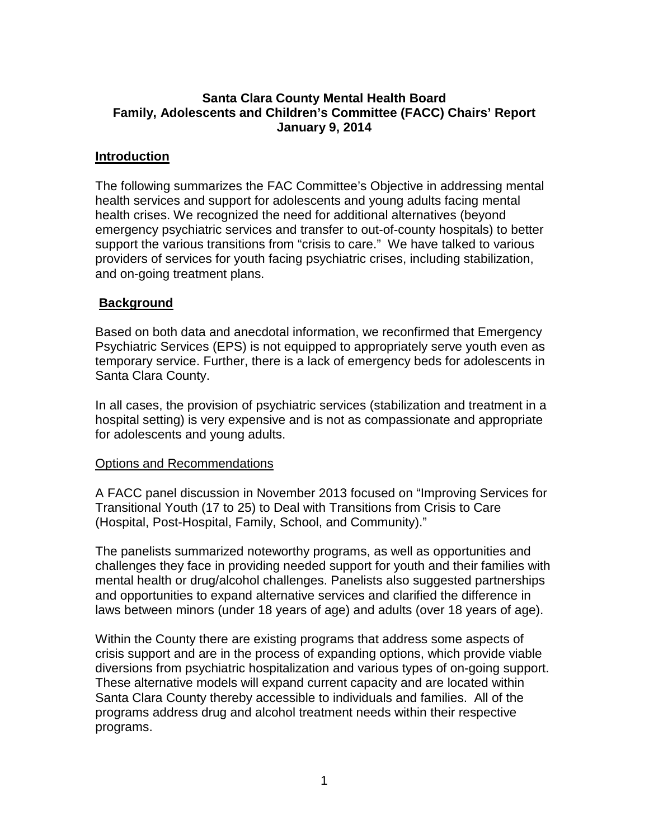# **Santa Clara County Mental Health Board Family, Adolescents and Children's Committee (FACC) Chairs' Report January 9, 2014**

# **Introduction**

The following summarizes the FAC Committee's Objective in addressing mental health services and support for adolescents and young adults facing mental health crises. We recognized the need for additional alternatives (beyond emergency psychiatric services and transfer to out-of-county hospitals) to better support the various transitions from "crisis to care." We have talked to various providers of services for youth facing psychiatric crises, including stabilization, and on-going treatment plans.

## **Background**

Based on both data and anecdotal information, we reconfirmed that Emergency Psychiatric Services (EPS) is not equipped to appropriately serve youth even as temporary service. Further, there is a lack of emergency beds for adolescents in Santa Clara County.

In all cases, the provision of psychiatric services (stabilization and treatment in a hospital setting) is very expensive and is not as compassionate and appropriate for adolescents and young adults.

#### Options and Recommendations

A FACC panel discussion in November 2013 focused on "Improving Services for Transitional Youth (17 to 25) to Deal with Transitions from Crisis to Care (Hospital, Post-Hospital, Family, School, and Community)."

The panelists summarized noteworthy programs, as well as opportunities and challenges they face in providing needed support for youth and their families with mental health or drug/alcohol challenges. Panelists also suggested partnerships and opportunities to expand alternative services and clarified the difference in laws between minors (under 18 years of age) and adults (over 18 years of age).

Within the County there are existing programs that address some aspects of crisis support and are in the process of expanding options, which provide viable diversions from psychiatric hospitalization and various types of on-going support. These alternative models will expand current capacity and are located within Santa Clara County thereby accessible to individuals and families. All of the programs address drug and alcohol treatment needs within their respective programs.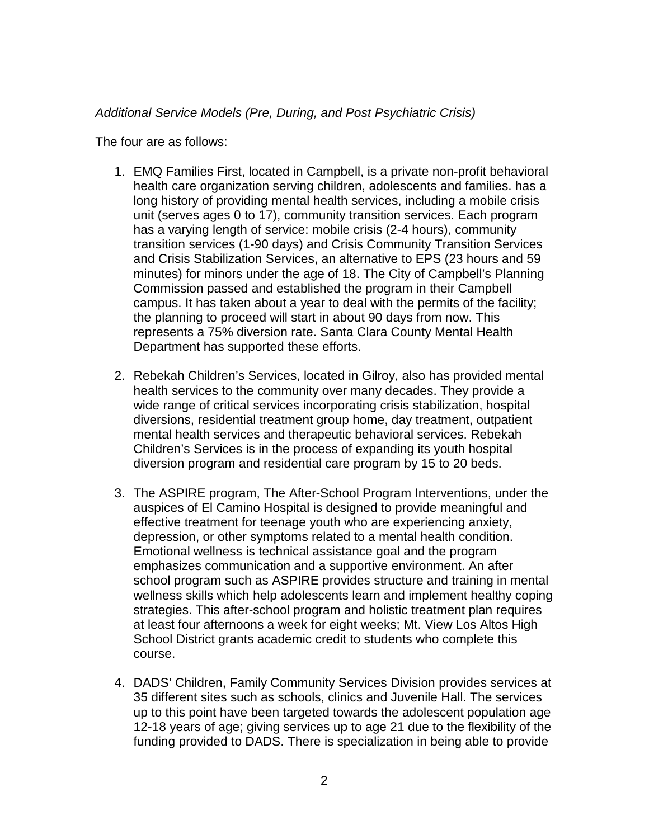### *Additional Service Models (Pre, During, and Post Psychiatric Crisis)*

The four are as follows:

- 1. EMQ Families First, located in Campbell, is a private non-profit behavioral health care organization serving children, adolescents and families. has a long history of providing mental health services, including a mobile crisis unit (serves ages 0 to 17), community transition services. Each program has a varying length of service: mobile crisis (2-4 hours), community transition services (1-90 days) and Crisis Community Transition Services and Crisis Stabilization Services, an alternative to EPS (23 hours and 59 minutes) for minors under the age of 18. The City of Campbell's Planning Commission passed and established the program in their Campbell campus. It has taken about a year to deal with the permits of the facility; the planning to proceed will start in about 90 days from now. This represents a 75% diversion rate. Santa Clara County Mental Health Department has supported these efforts.
- 2. Rebekah Children's Services, located in Gilroy, also has provided mental health services to the community over many decades. They provide a wide range of critical services incorporating crisis stabilization, hospital diversions, residential treatment group home, day treatment, outpatient mental health services and therapeutic behavioral services. Rebekah Children's Services is in the process of expanding its youth hospital diversion program and residential care program by 15 to 20 beds.
- 3. The ASPIRE program, The After-School Program Interventions, under the auspices of El Camino Hospital is designed to provide meaningful and effective treatment for teenage youth who are experiencing anxiety, depression, or other symptoms related to a mental health condition. Emotional wellness is technical assistance goal and the program emphasizes communication and a supportive environment. An after school program such as ASPIRE provides structure and training in mental wellness skills which help adolescents learn and implement healthy coping strategies. This after-school program and holistic treatment plan requires at least four afternoons a week for eight weeks; Mt. View Los Altos High School District grants academic credit to students who complete this course.
- 4. DADS' Children, Family Community Services Division provides services at 35 different sites such as schools, clinics and Juvenile Hall. The services up to this point have been targeted towards the adolescent population age 12-18 years of age; giving services up to age 21 due to the flexibility of the funding provided to DADS. There is specialization in being able to provide